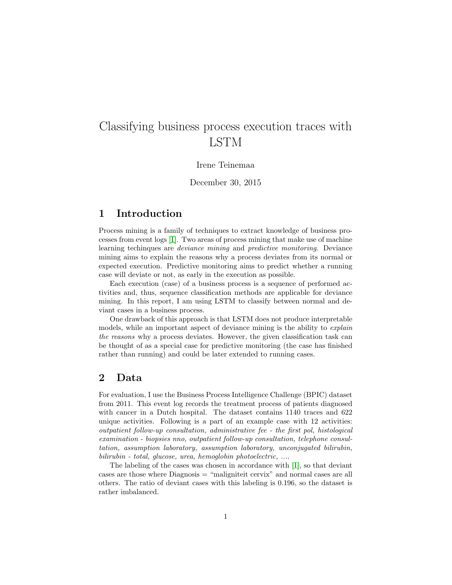# Classifying business process execution traces with LSTM

#### Irene Teinemaa

December 30, 2015

#### 1 Introduction

Process mining is a family of techniques to extract knowledge of business processes from event logs [\[1\]](#page-1-0). Two areas of process mining that make use of machine learning techinques are deviance mining and predictive monitoring. Deviance mining aims to explain the reasons why a process deviates from its normal or expected execution. Predictive monitoring aims to predict whether a running case will deviate or not, as early in the execution as possible.

Each execution (case) of a business process is a sequence of performed activities and, thus, sequence classification methods are applicable for deviance mining. In this report, I am using LSTM to classify between normal and deviant cases in a business process.

One drawback of this approach is that LSTM does not produce interpretable models, while an important aspect of deviance mining is the ability to *explain* the reasons why a process deviates. However, the given classification task can be thought of as a special case for predictive monitoring (the case has finished rather than running) and could be later extended to running cases.

## 2 Data

For evaluation, I use the Business Process Intelligence Challenge (BPIC) dataset from 2011. This event log records the treatment process of patients diagnosed with cancer in a Dutch hospital. The dataset contains 1140 traces and 622 unique activities. Following is a part of an example case with 12 activities: outpatient follow-up consultation, administrative fee - the first pol, histological examination - biopsies nno, outpatient follow-up consultation, telephone consultation, assumption laboratory, assumption laboratory, unconjugated bilirubin, bilirubin - total, glucose, urea, hemoglobin photoelectric, ....

The labeling of the cases was chosen in accordance with [\[1\]](#page-1-0), so that deviant cases are those where Diagnosis = "maligniteit cervix" and normal cases are all others. The ratio of deviant cases with this labeling is 0.196, so the dataset is rather imbalanced.